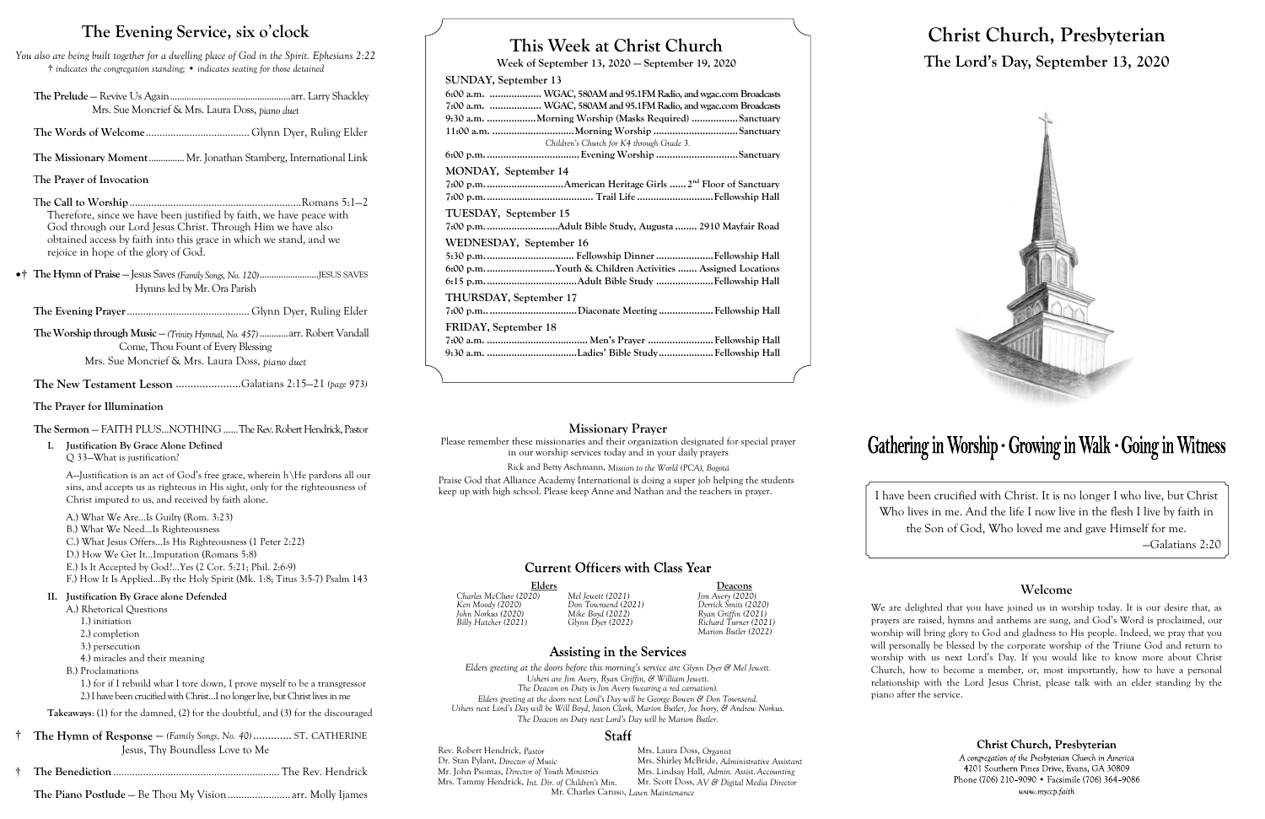# **This Week at Christ Church**

**Week of September 13, 2020 — September 19, 2020**

## **SUNDAY, September 13**

| 6:00 a.m.  WGAC, 580AM and 95.1FM Radio, and wgac.com Broadcasts |
|------------------------------------------------------------------|
| 7:00 a.m.  WGAC, 580AM and 95.1FM Radio, and wgac.com Broadcasts |
| 9:30 a.m. Morning Worship (Masks Required) Sanctuary             |
|                                                                  |
| Children's Church for K4 through Grade 3.                        |
|                                                                  |
| MONDAY, September 14                                             |
|                                                                  |
|                                                                  |
|                                                                  |
| TUESDAY, September 15                                            |
|                                                                  |
| WEDNESDAY, September 16                                          |
|                                                                  |
| 6:00 p.m. Youth & Children Activities  Assigned Locations        |
|                                                                  |
|                                                                  |
| <b>THURSDAY, September 17</b>                                    |
|                                                                  |
| FRIDAY, September 18                                             |
|                                                                  |
| 9:30 a.m. Ladies' Bible Study Fellowship Hall                    |
|                                                                  |
|                                                                  |
|                                                                  |

Elders Deacons<br>
20) Mel Jewett (2021) Jim Avery (2020) *Billy Hatcher (2021) Glynn Dyer (2022) Richard Turner (2021) Marion Butler (2022)*

## **Assisting in the Services**

Rev. Robert Hendrick, *Pastor* Mrs. Laura Doss, *Organist*<br>
Dr. Stan Pylant, *Director of Music* Mrs. Shirley McBride, *Adr* Mrs. Shirley McBride, *Administrative Assistant*<br>Mrs. Lindsay Hall, *Admin. Assist. Accounting* Mr. John Psomas, *Director of Youth Ministries* Mrs. Lindsay Hall, *Admin. Assist.-Accounting* Mrs. Tammy Hendrick, *Int. Dir. of Children's Min.* Mr. Charles Caruso, *Lawn Maintenance*

*Charles McClure (2020) Mel Jewett (2021) Jim Avery (2020) Ken Moody (2020) Don Townsend (2021) Derrick Smits (2020) John Norkus (2020) Mike Boyd (2022) Ryan Griffin (2021)*

*Elders greeting at the doors before this morning's service are Glynn Dyer & Mel Jewett. Ushers are Jim Avery, Ryan Griffin, & William Jewett. The Deacon on Duty* is *Jim Avery (wearing a red carnation). Elders greeting at the doors next Lord's Day will be George Bowen & Don Townsend. Ushers next Lord's Day will be Will Boyd, Jason Clark, Marion Butler, Joe Ivory, & Andrew Norkus. The Deacon on Duty next Lord's Day will be Marion Butler.*

### Staff

# **Christ Church, Presbyterian The Lord's Day, September 13, 2020**



# Gathering in Worship · Growing in Walk · Going in Witness

I have been crucified with Christ. It is no longer I who live, but Christ Who lives in me. And the life I now live in the flesh I live by faith in the Son of God, Who loved me and gave Himself for me.

—Galatians 2:20

## **Welcome**

We are delighted that you have joined us in worship today. It is our desire that, as prayers are raised, hymns and anthems are sung, and God's Word is proclaimed, our worship will bring glory to God and gladness to His people. Indeed, we pray that you will personally be blessed by the corporate worship of the Triune God and return to worship with us next Lord's Day. If you would like to know more about Christ Church, how to become a member, or, most importantly, how to have a personal relationship with the Lord Jesus Christ, please talk with an elder standing by the

Christ Church, Presbyterian

A congregation of the Presbyterian Church in America 4201 Southern Pines Drive, Evans, GA 30809 Phone (706) 210-9090 • Facsimile (706) 364-9086 www.myccp.faith

piano after the service.

## **The Evening Service, six o**'**clock**

*You also are being built together for a dwelling place of God in the Spirit. Ephesians 2:22* † *indicates the congregation standing;* • *indicates seating for those detained*

- **The Prelude** Revive Us Again...................................................arr. Larry Shackley Mrs. Sue Moncrief & Mrs. Laura Doss, *piano duet*
- **The Words of Welcome**...................................... Glynn Dyer, Ruling Elder
- **The Missionary Moment**............... Mr. Jonathan Stamberg, International Link

## T**he Prayer of Invocation**

- T**he Call to Worship**...............................................................Romans 5:1—2 Therefore, since we have been justified by faith, we have peace with God through our Lord Jesus Christ. Through Him we have also obtained access by faith into this grace in which we stand, and we rejoice in hope of the glory of God.
- •† **The Hymn of Praise**  Jesus Saves *(Family Songs, No. 120)*.........................JESUS SAVES Hymns led by Mr. Ora Parish

**The Evening Prayer**............................................. Glynn Dyer, Ruling Elder

**The Worship through Music** — *(Trinity Hymnal, No. 457)* ............arr. Robert Vandall Come, Thou Fount of Every Blessing Mrs. Sue Moncrief & Mrs. Laura Doss, *piano duet*

**The New Testament Lesson** ......................Galatians 2:15—21 *(page 973)*

## **The Prayer for Illumination**

## **The Sermon** — FAITH PLUS...NOTHING......The Rev. Robert Hendrick, Pastor

**I. Justification By Grace Alone Defined** Q 33—What is justification?

> A—Justification is an act of God's free grace, wherein h\He pardons all our sins, and accepts us as righteous in His sight, only for the righteousness of Christ imputed to us, and received by faith alone.

A.) What We Are…Is Guilty (Rom. 3:23) B.) What We Need…Is Righteousness C.) What Jesus Offers…Is His Righteousness (1 Peter 2:22) D.) How We Get It...Imputation (Romans 5:8) E.) Is It Accepted by God?...Yes (2 Cor. 5:21; Phil. 2:6-9) F.) How It Is Applied...By the Holy Spirit (Mk. 1:8; Titus 3:5-7) Psalm 143

### **II. Justification By Grace alone Defended**

- A.) Rhetorical Questions
	- 1.) initiation
	- 2.) completion
	- 3.) persecution
	- 4.) miracles and their meaning
- B.) Proclamations

1.) for if I rebuild what I tore down, I prove myself to be a transgressor 2.) I have been crucified with Christ…I no longer live, but Christ lives in me

**Takeaways**: (1) for the damned, (2) for the doubtful, and (3) for the discouraged

- † **The Hymn of Response**  *(Family Songs, No. 40)* ............. ST. CATHERINE Jesus, Thy Boundless Love to Me
- † **The Benediction**............................................................. The Rev. Hendrick
	- **The Piano Postlude** Be Thou My Vision....................... arr. Molly Ijames

## **Missionary Prayer**

Please remember these missionaries and their organization designated for special prayer in our worship services today and in your daily prayers Rick and Betty Aschmann, *Mission to the World (PCA), Bogotá* Praise God that Alliance Academy International is doing a super job helping the students keep up with high school. Please keep Anne and Nathan and the teachers in prayer.

## **Current Officers with Class Year**